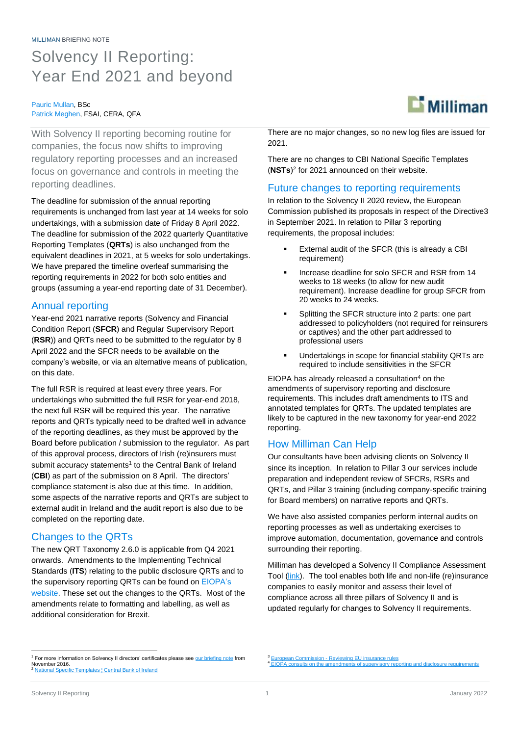# Solvency II Reporting: Year End 2021 and beyond

#### Pauric Mullan, BSc Patrick Meghen, FSAI, CERA, QFA

With Solvency II reporting becoming routine for companies, the focus now shifts to improving regulatory reporting processes and an increased focus on governance and controls in meeting the reporting deadlines.

The deadline for submission of the annual reporting requirements is unchanged from last year at 14 weeks for solo undertakings, with a submission date of Friday 8 April 2022. The deadline for submission of the 2022 quarterly Quantitative Reporting Templates (**QRTs**) is also unchanged from the equivalent deadlines in 2021, at 5 weeks for solo undertakings. We have prepared the timeline overleaf summarising the reporting requirements in 2022 for both solo entities and groups (assuming a year-end reporting date of 31 December).

## Annual reporting

Year-end 2021 narrative reports (Solvency and Financial Condition Report (**SFCR**) and Regular Supervisory Report (**RSR**)) and QRTs need to be submitted to the regulator by 8 April 2022 and the SFCR needs to be available on the company's website, or via an alternative means of publication, on this date.

The full RSR is required at least every three years. For undertakings who submitted the full RSR for year-end 2018, the next full RSR will be required this year. The narrative reports and QRTs typically need to be drafted well in advance of the reporting deadlines, as they must be approved by the Board before publication / submission to the regulator. As part of this approval process, directors of Irish (re)insurers must submit accuracy statements<sup>1</sup> to the Central Bank of Ireland (**CBI**) as part of the submission on 8 April. The directors' compliance statement is also due at this time. In addition, some aspects of the narrative reports and QRTs are subject to external audit in Ireland and the audit report is also due to be completed on the reporting date.

#### Changes to the QRTs

The new QRT Taxonomy 2.6.0 is applicable from Q4 2021 onwards. Amendments to the Implementing Technical Standards (**ITS**) relating to the public disclosure QRTs and to the supervisory reporting QRTs can be found on [EIOPA's](https://eiopa.europa.eu/Pages/Supervision/Insurance/Data-Point-Model-and-XBRL.aspx)  [website.](https://eiopa.europa.eu/Pages/Supervision/Insurance/Data-Point-Model-and-XBRL.aspx) These set out the changes to the QRTs. Most of the amendments relate to formatting and labelling, as well as additional consideration for Brexit.



**Milliman** 

There are no changes to CBI National Specific Templates (**NSTs**) 2 for 2021 announced on their website.

#### Future changes to reporting requirements

In relation to the Solvency II 2020 review, the European Commission published its proposals in respect of the Directive3 in September 2021. In relation to Pillar 3 reporting requirements, the proposal includes:

- External audit of the SFCR (this is already a CBI requirement)
- Increase deadline for solo SFCR and RSR from 14 weeks to 18 weeks (to allow for new audit requirement). Increase deadline for group SFCR from 20 weeks to 24 weeks.
- Splitting the SFCR structure into 2 parts: one part addressed to policyholders (not required for reinsurers or captives) and the other part addressed to professional users
- Undertakings in scope for financial stability QRTs are required to include sensitivities in the SFCR

EIOPA has already released a consultation $4$  on the amendments of supervisory reporting and disclosure requirements. This includes draft amendments to ITS and annotated templates for QRTs. The updated templates are likely to be captured in the new taxonomy for year-end 2022 reporting.

## How Milliman Can Help

Our consultants have been advising clients on Solvency II since its inception. In relation to Pillar 3 our services include preparation and independent review of SFCRs, RSRs and QRTs, and Pillar 3 training (including company-specific training for Board members) on narrative reports and QRTs.

We have also assisted companies perform internal audits on reporting processes as well as undertaking exercises to improve automation, documentation, governance and controls surrounding their reporting.

Milliman has developed a Solvency II Compliance Assessment Tool [\(link\)](https://ie.milliman.com/en-gb/products/solvency-ii-compliance-assessment-tool). The tool enables both life and non-life (re)insurance companies to easily monitor and assess their level of compliance across all three pillars of Solvency II and is updated regularly for changes to Solvency II requirements.

<sup>1</sup> For more information on Solvency II directors' certificates please se[e our briefing note](https://www.milliman.com/-/media/milliman/importedfiles/uploadedfiles/insight/2016/solvency-ii-directors-certifications.ashx) from November 2016. 2 Templates ¦ Central Bank of Ireland

European Commission - [Reviewing EU insurance rules](https://ec.europa.eu/commission/presscorner/detail/en/IP_21_4783)<br>EIOPA consults on the amendments of supervisory rep nts of supervisory reporting and disclosure requirements